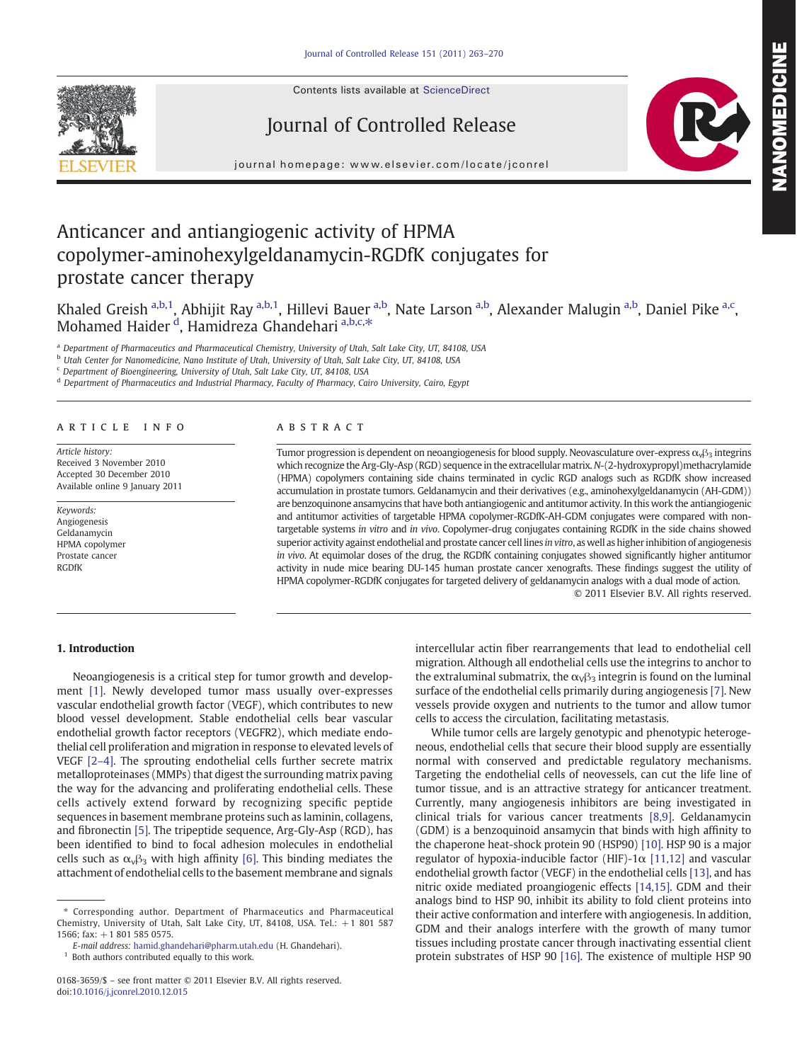Contents lists available at ScienceDirect







journal homepage: www.elsevier.com/locate/jconrel

# Anticancer and antiangiogenic activity of HPMA copolymer-aminohexylgeldanamycin-RGDfK conjugates for prostate cancer therapy

Khaled Greish <sup>a,b,1</sup>, Abhijit Ray <sup>a,b,1</sup>, Hillevi Bauer <sup>a,b</sup>, Nate Larson <sup>a,b</sup>, Alexander Malugin <sup>a,b</sup>, Daniel Pike <sup>a,c</sup>, Mohamed Haider <sup>d</sup>, Hamidreza Ghandehari <sup>a,b,c,\*</sup>

a Department of Pharmaceutics and Pharmaceutical Chemistry, University of Utah, Salt Lake City, UT, 84108, USA

<sup>b</sup> Utah Center for Nanomedicine, Nano Institute of Utah, University of Utah, Salt Lake City, UT, 84108, USA

<sup>c</sup> Department of Bioengineering, University of Utah, Salt Lake City, UT, 84108, USA

<sup>d</sup> Department of Pharmaceutics and Industrial Pharmacy, Faculty of Pharmacy, Cairo University, Cairo, Egypt

#### article info abstract

Article history: Received 3 November 2010 Accepted 30 December 2010 Available online 9 January 2011

Keywords: Angiogenesis Geldanamycin HPMA copolymer Prostate cancer RGDfK

Tumor progression is dependent on neoangiogenesis for blood supply. Neovasculature over-express  $\alpha_v\beta_3$  integrins which recognize the Arg-Gly-Asp (RGD) sequence in the extracellular matrix. N-(2-hydroxypropyl)methacrylamide (HPMA) copolymers containing side chains terminated in cyclic RGD analogs such as RGDfK show increased accumulation in prostate tumors. Geldanamycin and their derivatives (e.g., aminohexylgeldanamycin (AH-GDM)) are benzoquinone ansamycins that have both antiangiogenic and antitumor activity. In this work the antiangiogenic and antitumor activities of targetable HPMA copolymer-RGDfK-AH-GDM conjugates were compared with nontargetable systems in vitro and in vivo. Copolymer-drug conjugates containing RGDfK in the side chains showed superior activity against endothelial and prostate cancer cell lines in vitro, as well as higher inhibition of angiogenesis in vivo. At equimolar doses of the drug, the RGDfK containing conjugates showed significantly higher antitumor activity in nude mice bearing DU-145 human prostate cancer xenografts. These findings suggest the utility of HPMA copolymer-RGDfK conjugates for targeted delivery of geldanamycin analogs with a dual mode of action. © 2011 Elsevier B.V. All rights reserved.

# 1. Introduction

Neoangiogenesis is a critical step for tumor growth and development [\[1\]](#page-6-0). Newly developed tumor mass usually over-expresses vascular endothelial growth factor (VEGF), which contributes to new blood vessel development. Stable endothelial cells bear vascular endothelial growth factor receptors (VEGFR2), which mediate endothelial cell proliferation and migration in response to elevated levels of VEGF [2–[4\].](#page-6-0) The sprouting endothelial cells further secrete matrix metalloproteinases (MMPs) that digest the surrounding matrix paving the way for the advancing and proliferating endothelial cells. These cells actively extend forward by recognizing specific peptide sequences in basement membrane proteins such as laminin, collagens, and fibronectin [\[5\].](#page-6-0) The tripeptide sequence, Arg-Gly-Asp (RGD), has been identified to bind to focal adhesion molecules in endothelial cells such as  $\alpha_{\nu} \beta_3$  with high affinity [\[6\].](#page-6-0) This binding mediates the attachment of endothelial cells to the basement membrane and signals

 $1$  Both authors contributed equally to this work.

intercellular actin fiber rearrangements that lead to endothelial cell migration. Although all endothelial cells use the integrins to anchor to the extraluminal submatrix, the  $\alpha_{\nu\beta}$ <sub>3</sub> integrin is found on the luminal surface of the endothelial cells primarily during angiogenesis [\[7\]](#page-6-0). New vessels provide oxygen and nutrients to the tumor and allow tumor cells to access the circulation, facilitating metastasis.

While tumor cells are largely genotypic and phenotypic heterogeneous, endothelial cells that secure their blood supply are essentially normal with conserved and predictable regulatory mechanisms. Targeting the endothelial cells of neovessels, can cut the life line of tumor tissue, and is an attractive strategy for anticancer treatment. Currently, many angiogenesis inhibitors are being investigated in clinical trials for various cancer treatments [\[8,9\]](#page-6-0). Geldanamycin (GDM) is a benzoquinoid ansamycin that binds with high affinity to the chaperone heat-shock protein 90 (HSP90) [\[10\]](#page-6-0). HSP 90 is a major regulator of hypoxia-inducible factor (HIF)-1 $\alpha$  [\[11,12\]](#page-6-0) and vascular endothelial growth factor (VEGF) in the endothelial cells [\[13\]](#page-6-0), and has nitric oxide mediated proangiogenic effects [\[14,15\].](#page-6-0) GDM and their analogs bind to HSP 90, inhibit its ability to fold client proteins into their active conformation and interfere with angiogenesis. In addition, GDM and their analogs interfere with the growth of many tumor tissues including prostate cancer through inactivating essential client protein substrates of HSP 90 [\[16\].](#page-6-0) The existence of multiple HSP 90

<sup>⁎</sup> Corresponding author. Department of Pharmaceutics and Pharmaceutical Chemistry, University of Utah, Salt Lake City, UT, 84108, USA. Tel.: +1 801 587 1566; fax: +1 801 585 0575.

E-mail address: [hamid.ghandehari@pharm.utah.edu](mailto:hamid.ghandehari@pharm.utah.edu) (H. Ghandehari).

<sup>0168-3659/\$</sup> – see front matter © 2011 Elsevier B.V. All rights reserved. doi:[10.1016/j.jconrel.2010.12.015](http://dx.doi.org/10.1016/j.jconrel.2010.12.015)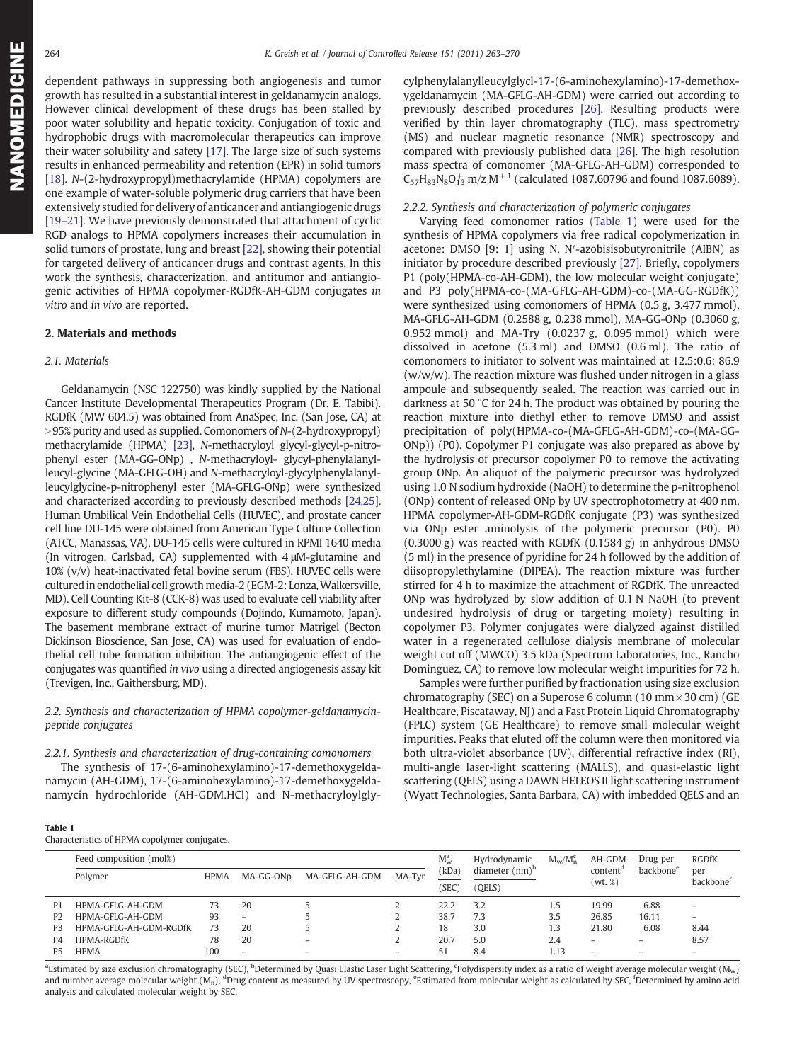<span id="page-1-0"></span>dependent pathways in suppressing both angiogenesis and tumor growth has resulted in a substantial interest in geldanamycin analogs. However clinical development of these drugs has been stalled by poor water solubility and hepatic toxicity. Conjugation of toxic and hydrophobic drugs with macromolecular therapeutics can improve their water solubility and safety [\[17\]](#page-7-0). The large size of such systems results in enhanced permeability and retention (EPR) in solid tumors [\[18\]](#page-7-0). N-(2-hydroxypropyl)methacrylamide (HPMA) copolymers are one example of water-soluble polymeric drug carriers that have been extensively studied for delivery of anticancer and antiangiogenic drugs [19–[21\]](#page-7-0). We have previously demonstrated that attachment of cyclic RGD analogs to HPMA copolymers increases their accumulation in solid tumors of prostate, lung and breast [\[22\]](#page-7-0), showing their potential for targeted delivery of anticancer drugs and contrast agents. In this work the synthesis, characterization, and antitumor and antiangiogenic activities of HPMA copolymer-RGDfK-AH-GDM conjugates in vitro and in vivo are reported.

### 2. Materials and methods

#### 2.1. Materials

Geldanamycin (NSC 122750) was kindly supplied by the National Cancer Institute Developmental Therapeutics Program (Dr. E. Tabibi). RGDfK (MW 604.5) was obtained from AnaSpec, Inc. (San Jose, CA) at  $>95\%$  purity and used as supplied. Comonomers of N-(2-hydroxypropyl) methacrylamide (HPMA) [\[23\],](#page-7-0) N-methacryloyl glycyl-glycyl-p-nitrophenyl ester (MA-GG-ONp) , N-methacryloyl- glycyl-phenylalanylleucyl-glycine (MA-GFLG-OH) and N-methacryloyl-glycylphenylalanylleucylglycine-p-nitrophenyl ester (MA-GFLG-ONp) were synthesized and characterized according to previously described methods [\[24,25\].](#page-7-0) Human Umbilical Vein Endothelial Cells (HUVEC), and prostate cancer cell line DU-145 were obtained from American Type Culture Collection (ATCC, Manassas, VA). DU-145 cells were cultured in RPMI 1640 media (In vitrogen, Carlsbad, CA) supplemented with 4 μM-glutamine and 10% (v/v) heat-inactivated fetal bovine serum (FBS). HUVEC cells were cultured in endothelial cell growth media-2 (EGM-2: Lonza, Walkersville, MD). Cell Counting Kit-8 (CCK-8) was used to evaluate cell viability after exposure to different study compounds (Dojindo, Kumamoto, Japan). The basement membrane extract of murine tumor Matrigel (Becton Dickinson Bioscience, San Jose, CA) was used for evaluation of endothelial cell tube formation inhibition. The antiangiogenic effect of the conjugates was quantified in vivo using a directed angiogenesis assay kit (Trevigen, Inc., Gaithersburg, MD).

# 2.2. Synthesis and characterization of HPMA copolymer-geldanamycinpeptide conjugates

# 2.2.1. Synthesis and characterization of drug-containing comonomers

The synthesis of 17-(6-aminohexylamino)-17-demethoxygeldanamycin (AH-GDM), 17-(6-aminohexylamino)-17-demethoxygeldanamycin hydrochloride (AH-GDM.HCl) and N-methacryloylgly-

cylphenylalanylleucylglycl-17-(6-aminohexylamino)-17-demethoxygeldanamycin (MA-GFLG-AH-GDM) were carried out according to previously described procedures [\[26\]](#page-7-0). Resulting products were verified by thin layer chromatography (TLC), mass spectrometry (MS) and nuclear magnetic resonance (NMR) spectroscopy and compared with previously published data [\[26\].](#page-7-0) The high resolution mass spectra of comonomer (MA-GFLG-AH-GDM) corresponded to  $C_{57}H_{83}N_8O_{13}^+$  m/z M<sup>+1</sup> (calculated 1087.60796 and found 1087.6089).

### 2.2.2. Synthesis and characterization of polymeric conjugates

Varying feed comonomer ratios (Table 1) were used for the synthesis of HPMA copolymers via free radical copolymerization in acetone: DMSO [9: 1] using N, N′-azobisisobutyronitrile (AIBN) as initiator by procedure described previously [\[27\]](#page-7-0). Briefly, copolymers P1 (poly(HPMA-co-AH-GDM), the low molecular weight conjugate) and P3 poly(HPMA-co-(MA-GFLG-AH-GDM)-co-(MA-GG-RGDfK)) were synthesized using comonomers of HPMA (0.5 g, 3.477 mmol), MA-GFLG-AH-GDM (0.2588 g, 0.238 mmol), MA-GG-ONp (0.3060 g, 0.952 mmol) and MA-Try (0.0237 g, 0.095 mmol) which were dissolved in acetone (5.3 ml) and DMSO (0.6 ml). The ratio of comonomers to initiator to solvent was maintained at 12.5:0.6: 86.9 (w/w/w). The reaction mixture was flushed under nitrogen in a glass ampoule and subsequently sealed. The reaction was carried out in darkness at 50 °C for 24 h. The product was obtained by pouring the reaction mixture into diethyl ether to remove DMSO and assist precipitation of poly(HPMA-co-(MA-GFLG-AH-GDM)-co-(MA-GG-ONp)) (P0). Copolymer P1 conjugate was also prepared as above by the hydrolysis of precursor copolymer P0 to remove the activating group ONp. An aliquot of the polymeric precursor was hydrolyzed using 1.0 N sodium hydroxide (NaOH) to determine the p-nitrophenol (ONp) content of released ONp by UV spectrophotometry at 400 nm. HPMA copolymer-AH-GDM-RGDfK conjugate (P3) was synthesized via ONp ester aminolysis of the polymeric precursor (P0). P0 (0.3000 g) was reacted with RGDfK (0.1584 g) in anhydrous DMSO (5 ml) in the presence of pyridine for 24 h followed by the addition of diisopropylethylamine (DIPEA). The reaction mixture was further stirred for 4 h to maximize the attachment of RGDfK. The unreacted ONp was hydrolyzed by slow addition of 0.1 N NaOH (to prevent undesired hydrolysis of drug or targeting moiety) resulting in copolymer P3. Polymer conjugates were dialyzed against distilled water in a regenerated cellulose dialysis membrane of molecular weight cut off (MWCO) 3.5 kDa (Spectrum Laboratories, Inc., Rancho Dominguez, CA) to remove low molecular weight impurities for 72 h.

Samples were further purified by fractionation using size exclusion chromatography (SEC) on a Superose 6 column (10 mm  $\times$  30 cm) (GE Healthcare, Piscataway, NJ) and a Fast Protein Liquid Chromatography (FPLC) system (GE Healthcare) to remove small molecular weight impurities. Peaks that eluted off the column were then monitored via both ultra-violet absorbance (UV), differential refractive index (RI), multi-angle laser-light scattering (MALLS), and quasi-elastic light scattering (QELS) using a DAWN HELEOS II light scattering instrument (Wyatt Technologies, Santa Barbara, CA) with imbedded QELS and an

|--|

Characteristics of HPMA copolymer conjugates.

| Characteristics of Thema copolymer compagnes. |                         |             |                          |                          |        |               |                            |             |                                 |                       |                              |  |
|-----------------------------------------------|-------------------------|-------------|--------------------------|--------------------------|--------|---------------|----------------------------|-------------|---------------------------------|-----------------------|------------------------------|--|
|                                               | Feed composition (mol%) |             |                          |                          |        |               | Hydrodynamic               | $M_w/M_n^c$ | AH-GDM                          | Drug per              | <b>RGDfK</b>                 |  |
|                                               | Polymer                 | <b>HPMA</b> | MA-GG-ON <sub>D</sub>    | MA-GFLG-AH-GDM           | MA-Tvr | kDa)<br>`SEC` | diameter $(nm)^b$<br>QELS) |             | content <sup>a</sup><br>(wt, %) | backbone <sup>e</sup> | per<br>backbone <sup>r</sup> |  |
|                                               |                         |             |                          |                          |        |               |                            |             |                                 |                       |                              |  |
| P1                                            | HPMA-GFLG-AH-GDM        | 73          | 20                       |                          |        | 22.2          | 3.2                        | 1.5         | 19.99                           | 6.88                  |                              |  |
| P <sub>2</sub>                                | HPMA-GFLG-AH-GDM        | 93          | $\overline{\phantom{0}}$ |                          |        | 38.7          | 7.3                        | 3.5         | 26.85                           | 16.11                 |                              |  |
| P3                                            | HPMA-GFLG-AH-GDM-RGDfK  | 73          | 20                       |                          |        | 18            | 3.0                        | 1.3         | 21.80                           | 6.08                  | 8.44                         |  |
| P <sub>4</sub>                                | <b>HPMA-RGDfK</b>       | 78          | 20                       | $\overline{\phantom{0}}$ |        | 20.7          | 5.0                        | 2.4         |                                 | $\qquad \qquad$       | 8.57                         |  |
| Р5                                            | <b>HPMA</b>             | 100         | -                        | $\overline{\phantom{m}}$ |        | 51            | 8.4                        | 1.13        |                                 |                       |                              |  |

<sup>a</sup>Estimated by size exclusion chromatography (SEC), <sup>b</sup>Determined by Quasi Elastic Laser Light Scattering, <sup>c</sup>Polydispersity index as a ratio of weight average molecular weight (M<sub>w</sub>) and number average molecular weight (M<sub>n</sub>), <sup>d</sup>Drug content as measured by UV spectroscopy, <sup>e</sup>Estimated from molecular weight as calculated by SEC, <sup>f</sup>Determined by amino acid analysis and calculated molecular weight by SEC.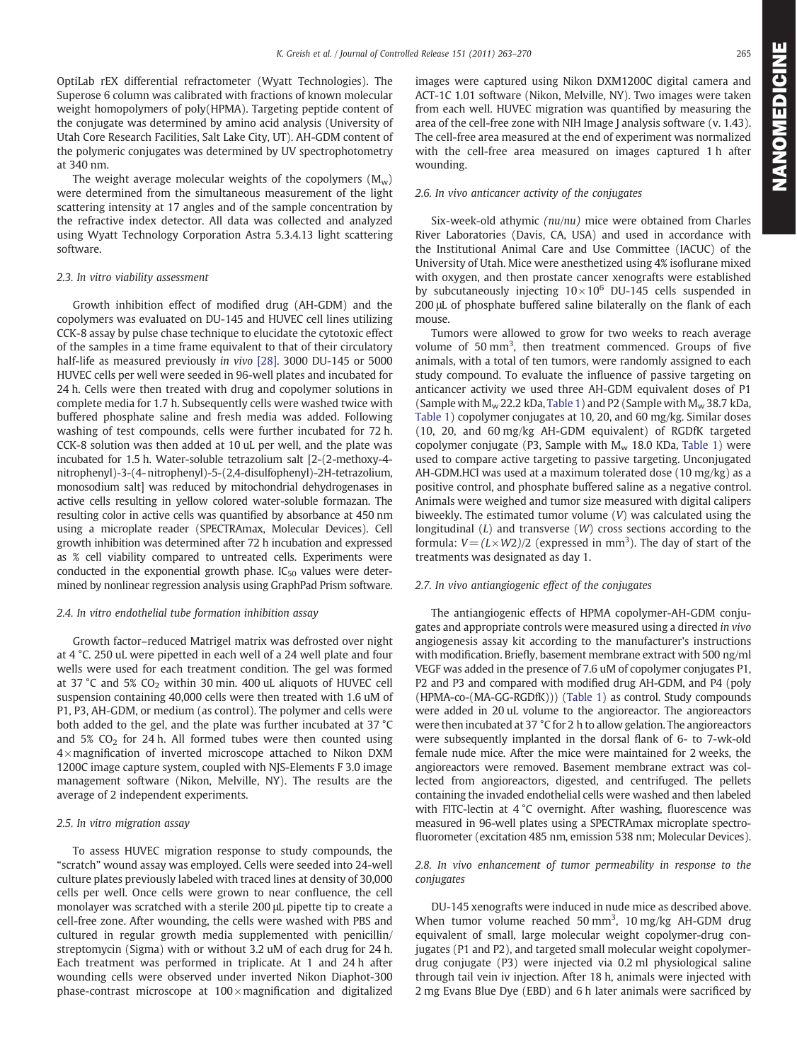OptiLab rEX differential refractometer (Wyatt Technologies). The Superose 6 column was calibrated with fractions of known molecular weight homopolymers of poly(HPMA). Targeting peptide content of the conjugate was determined by amino acid analysis (University of Utah Core Research Facilities, Salt Lake City, UT). AH-GDM content of the polymeric conjugates was determined by UV spectrophotometry at 340 nm.

The weight average molecular weights of the copolymers  $(M_w)$ were determined from the simultaneous measurement of the light scattering intensity at 17 angles and of the sample concentration by the refractive index detector. All data was collected and analyzed using Wyatt Technology Corporation Astra 5.3.4.13 light scattering software.

# 2.3. In vitro viability assessment

Growth inhibition effect of modified drug (AH-GDM) and the copolymers was evaluated on DU-145 and HUVEC cell lines utilizing CCK-8 assay by pulse chase technique to elucidate the cytotoxic effect of the samples in a time frame equivalent to that of their circulatory half-life as measured previously in vivo [\[28\].](#page-7-0) 3000 DU-145 or 5000 HUVEC cells per well were seeded in 96-well plates and incubated for 24 h. Cells were then treated with drug and copolymer solutions in complete media for 1.7 h. Subsequently cells were washed twice with buffered phosphate saline and fresh media was added. Following washing of test compounds, cells were further incubated for 72 h. CCK-8 solution was then added at 10 uL per well, and the plate was incubated for 1.5 h. Water-soluble tetrazolium salt [2-(2-methoxy-4 nitrophenyl)-3-(4- nitrophenyl)-5-(2,4-disulfophenyl)-2H-tetrazolium, monosodium salt] was reduced by mitochondrial dehydrogenases in active cells resulting in yellow colored water-soluble formazan. The resulting color in active cells was quantified by absorbance at 450 nm using a microplate reader (SPECTRAmax, Molecular Devices). Cell growth inhibition was determined after 72 h incubation and expressed as % cell viability compared to untreated cells. Experiments were conducted in the exponential growth phase.  $IC_{50}$  values were determined by nonlinear regression analysis using GraphPad Prism software.

#### 2.4. In vitro endothelial tube formation inhibition assay

Growth factor–reduced Matrigel matrix was defrosted over night at 4 °C. 250 uL were pipetted in each well of a 24 well plate and four wells were used for each treatment condition. The gel was formed at 37 °C and 5%  $CO<sub>2</sub>$  within 30 min. 400 uL aliquots of HUVEC cell suspension containing 40,000 cells were then treated with 1.6 uM of P1, P3, AH-GDM, or medium (as control). The polymer and cells were both added to the gel, and the plate was further incubated at 37 °C and  $5\%$  CO<sub>2</sub> for 24 h. All formed tubes were then counted using  $4 \times$  magnification of inverted microscope attached to Nikon DXM 1200C image capture system, coupled with NJS-Elements F 3.0 image management software (Nikon, Melville, NY). The results are the average of 2 independent experiments.

#### 2.5. In vitro migration assay

To assess HUVEC migration response to study compounds, the "scratch" wound assay was employed. Cells were seeded into 24-well culture plates previously labeled with traced lines at density of 30,000 cells per well. Once cells were grown to near confluence, the cell monolayer was scratched with a sterile 200 μL pipette tip to create a cell-free zone. After wounding, the cells were washed with PBS and cultured in regular growth media supplemented with penicillin/ streptomycin (Sigma) with or without 3.2 uM of each drug for 24 h. Each treatment was performed in triplicate. At 1 and 24 h after wounding cells were observed under inverted Nikon Diaphot-300 phase-contrast microscope at  $100 \times$  magnification and digitalized images were captured using Nikon DXM1200C digital camera and ACT-1C 1.01 software (Nikon, Melville, NY). Two images were taken from each well. HUVEC migration was quantified by measuring the area of the cell-free zone with NIH Image J analysis software (v. 1.43). The cell-free area measured at the end of experiment was normalized with the cell-free area measured on images captured 1 h after wounding.

#### 2.6. In vivo anticancer activity of the conjugates

Six-week-old athymic (nu/nu) mice were obtained from Charles River Laboratories (Davis, CA, USA) and used in accordance with the Institutional Animal Care and Use Committee (IACUC) of the University of Utah. Mice were anesthetized using 4% isoflurane mixed with oxygen, and then prostate cancer xenografts were established by subcutaneously injecting  $10 \times 10^6$  DU-145 cells suspended in 200 μL of phosphate buffered saline bilaterally on the flank of each mouse.

Tumors were allowed to grow for two weeks to reach average volume of 50 mm<sup>3</sup>, then treatment commenced. Groups of five animals, with a total of ten tumors, were randomly assigned to each study compound. To evaluate the influence of passive targeting on anticancer activity we used three AH-GDM equivalent doses of P1 (Sample with  $M_w$  22.2 kDa, [Table 1](#page-1-0)) and P2 (Sample with  $M_w$  38.7 kDa, [Table 1\)](#page-1-0) copolymer conjugates at 10, 20, and 60 mg/kg. Similar doses (10, 20, and 60 mg/kg AH-GDM equivalent) of RGDfK targeted copolymer conjugate (P3, Sample with  $M_w$  18.0 KDa, [Table 1\)](#page-1-0) were used to compare active targeting to passive targeting. Unconjugated AH-GDM.HCl was used at a maximum tolerated dose (10 mg/kg) as a positive control, and phosphate buffered saline as a negative control. Animals were weighed and tumor size measured with digital calipers biweekly. The estimated tumor volume (V) was calculated using the longitudinal  $(L)$  and transverse  $(W)$  cross sections according to the formula:  $V = (L \times W2)/2$  (expressed in mm<sup>3</sup>). The day of start of the treatments was designated as day 1.

# 2.7. In vivo antiangiogenic effect of the conjugates

The antiangiogenic effects of HPMA copolymer-AH-GDM conjugates and appropriate controls were measured using a directed in vivo angiogenesis assay kit according to the manufacturer's instructions with modification. Briefly, basement membrane extract with 500 ng/ml VEGF was added in the presence of 7.6 uM of copolymer conjugates P1, P2 and P3 and compared with modified drug AH-GDM, and P4 (poly (HPMA-co-(MA-GG-RGDfK))) ([Table 1](#page-1-0)) as control. Study compounds were added in 20 uL volume to the angioreactor. The angioreactors were then incubated at 37 °C for 2 h to allow gelation. The angioreactors were subsequently implanted in the dorsal flank of 6- to 7-wk-old female nude mice. After the mice were maintained for 2 weeks, the angioreactors were removed. Basement membrane extract was collected from angioreactors, digested, and centrifuged. The pellets containing the invaded endothelial cells were washed and then labeled with FITC-lectin at 4 °C overnight. After washing, fluorescence was measured in 96-well plates using a SPECTRAmax microplate spectrofluorometer (excitation 485 nm, emission 538 nm; Molecular Devices).

### 2.8. In vivo enhancement of tumor permeability in response to the conjugates

DU-145 xenografts were induced in nude mice as described above. When tumor volume reached 50 mm<sup>3</sup>, 10 mg/kg AH-GDM drug equivalent of small, large molecular weight copolymer-drug conjugates (P1 and P2), and targeted small molecular weight copolymerdrug conjugate (P3) were injected via 0.2 ml physiological saline through tail vein iv injection. After 18 h, animals were injected with 2 mg Evans Blue Dye (EBD) and 6 h later animals were sacrificed by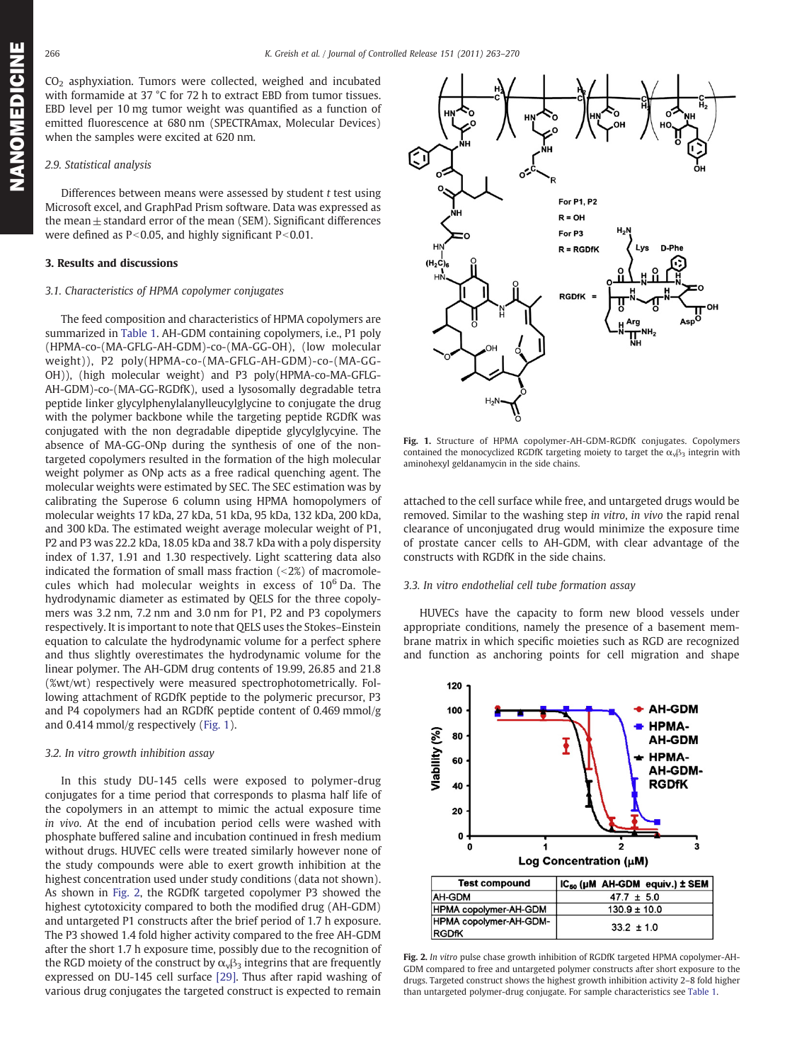CO2 asphyxiation. Tumors were collected, weighed and incubated with formamide at 37 °C for 72 h to extract EBD from tumor tissues. EBD level per 10 mg tumor weight was quantified as a function of emitted fluorescence at 680 nm (SPECTRAmax, Molecular Devices) when the samples were excited at 620 nm.

#### 2.9. Statistical analysis

Differences between means were assessed by student t test using Microsoft excel, and GraphPad Prism software. Data was expressed as the mean $\pm$  standard error of the mean (SEM). Significant differences were defined as  $P<0.05$ , and highly significant  $P<0.01$ .

# 3. Results and discussions

#### 3.1. Characteristics of HPMA copolymer conjugates

The feed composition and characteristics of HPMA copolymers are summarized in [Table 1.](#page-1-0) AH-GDM containing copolymers, i.e., P1 poly (HPMA-co-(MA-GFLG-AH-GDM)-co-(MA-GG-OH), (low molecular weight)), P2 poly(HPMA-co-(MA-GFLG-AH-GDM)-co-(MA-GG-OH)), (high molecular weight) and P3 poly(HPMA-co-MA-GFLG-AH-GDM)-co-(MA-GG-RGDfK), used a lysosomally degradable tetra peptide linker glycylphenylalanylleucylglycine to conjugate the drug with the polymer backbone while the targeting peptide RGDfK was conjugated with the non degradable dipeptide glycylglycyine. The absence of MA-GG-ONp during the synthesis of one of the nontargeted copolymers resulted in the formation of the high molecular weight polymer as ONp acts as a free radical quenching agent. The molecular weights were estimated by SEC. The SEC estimation was by calibrating the Superose 6 column using HPMA homopolymers of molecular weights 17 kDa, 27 kDa, 51 kDa, 95 kDa, 132 kDa, 200 kDa, and 300 kDa. The estimated weight average molecular weight of P1, P2 and P3 was 22.2 kDa, 18.05 kDa and 38.7 kDa with a poly dispersity index of 1.37, 1.91 and 1.30 respectively. Light scattering data also indicated the formation of small mass fraction  $($  <2%) of macromolecules which had molecular weights in excess of  $10^6$  Da. The hydrodynamic diameter as estimated by QELS for the three copolymers was 3.2 nm, 7.2 nm and 3.0 nm for P1, P2 and P3 copolymers respectively. It is important to note that QELS uses the Stokes–Einstein equation to calculate the hydrodynamic volume for a perfect sphere and thus slightly overestimates the hydrodynamic volume for the linear polymer. The AH-GDM drug contents of 19.99, 26.85 and 21.8 (%wt/wt) respectively were measured spectrophotometrically. Following attachment of RGDfK peptide to the polymeric precursor, P3 and P4 copolymers had an RGDfK peptide content of 0.469 mmol/g and 0.414 mmol/g respectively (Fig. 1).

### 3.2. In vitro growth inhibition assay

In this study DU-145 cells were exposed to polymer-drug conjugates for a time period that corresponds to plasma half life of the copolymers in an attempt to mimic the actual exposure time in vivo. At the end of incubation period cells were washed with phosphate buffered saline and incubation continued in fresh medium without drugs. HUVEC cells were treated similarly however none of the study compounds were able to exert growth inhibition at the highest concentration used under study conditions (data not shown). As shown in Fig. 2, the RGDfK targeted copolymer P3 showed the highest cytotoxicity compared to both the modified drug (AH-GDM) and untargeted P1 constructs after the brief period of 1.7 h exposure. The P3 showed 1.4 fold higher activity compared to the free AH-GDM after the short 1.7 h exposure time, possibly due to the recognition of the RGD moiety of the construct by  $\alpha_{v} \beta_3$  integrins that are frequently expressed on DU-145 cell surface [\[29\]](#page-7-0). Thus after rapid washing of various drug conjugates the targeted construct is expected to remain



Fig. 1. Structure of HPMA copolymer-AH-GDM-RGDfK conjugates. Copolymers contained the monocyclized RGDfK targeting moiety to target the  $\alpha_{\nu} \beta_3$  integrin with aminohexyl geldanamycin in the side chains.

attached to the cell surface while free, and untargeted drugs would be removed. Similar to the washing step in vitro, in vivo the rapid renal clearance of unconjugated drug would minimize the exposure time of prostate cancer cells to AH-GDM, with clear advantage of the constructs with RGDfK in the side chains.

### 3.3. In vitro endothelial cell tube formation assay

HUVECs have the capacity to form new blood vessels under appropriate conditions, namely the presence of a basement membrane matrix in which specific moieties such as RGD are recognized and function as anchoring points for cell migration and shape



Fig. 2. In vitro pulse chase growth inhibition of RGDfK targeted HPMA copolymer-AH-GDM compared to free and untargeted polymer constructs after short exposure to the drugs. Targeted construct shows the highest growth inhibition activity 2–8 fold higher than untargeted polymer-drug conjugate. For sample characteristics see [Table 1.](#page-1-0)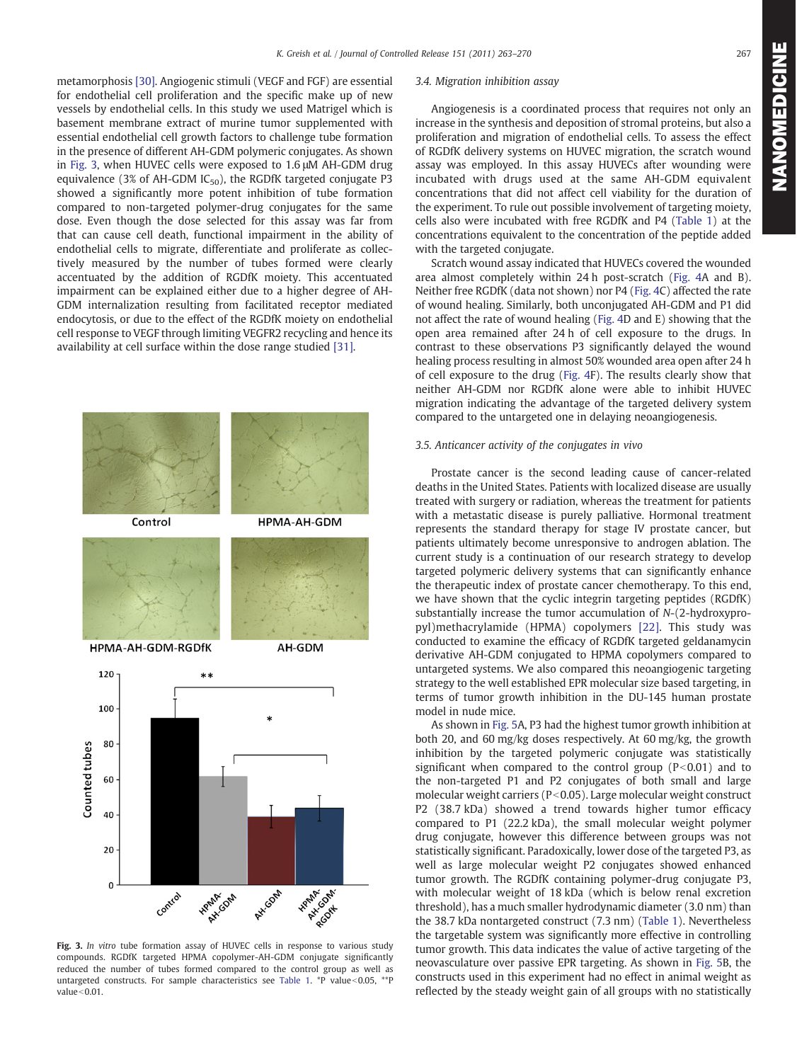metamorphosis [\[30\].](#page-7-0) Angiogenic stimuli (VEGF and FGF) are essential for endothelial cell proliferation and the specific make up of new vessels by endothelial cells. In this study we used Matrigel which is basement membrane extract of murine tumor supplemented with essential endothelial cell growth factors to challenge tube formation in the presence of different AH-GDM polymeric conjugates. As shown in Fig. 3, when HUVEC cells were exposed to 1.6 μM AH-GDM drug equivalence (3% of AH-GDM  $IC_{50}$ ), the RGDfK targeted conjugate P3 showed a significantly more potent inhibition of tube formation compared to non-targeted polymer-drug conjugates for the same dose. Even though the dose selected for this assay was far from that can cause cell death, functional impairment in the ability of endothelial cells to migrate, differentiate and proliferate as collectively measured by the number of tubes formed were clearly accentuated by the addition of RGDfK moiety. This accentuated impairment can be explained either due to a higher degree of AH-GDM internalization resulting from facilitated receptor mediated endocytosis, or due to the effect of the RGDfK moiety on endothelial cell response to VEGF through limiting VEGFR2 recycling and hence its availability at cell surface within the dose range studied [\[31\]](#page-7-0).



Fig. 3. In vitro tube formation assay of HUVEC cells in response to various study compounds. RGDfK targeted HPMA copolymer-AH-GDM conjugate significantly reduced the number of tubes formed compared to the control group as well as untargeted constructs. For sample characteristics see [Table 1.](#page-1-0) \*P value<0.05, \*\*P value $<$ 0.01.

# 3.4. Migration inhibition assay

Angiogenesis is a coordinated process that requires not only an increase in the synthesis and deposition of stromal proteins, but also a proliferation and migration of endothelial cells. To assess the effect of RGDfK delivery systems on HUVEC migration, the scratch wound assay was employed. In this assay HUVECs after wounding were incubated with drugs used at the same AH-GDM equivalent concentrations that did not affect cell viability for the duration of the experiment. To rule out possible involvement of targeting moiety, cells also were incubated with free RGDfK and P4 [\(Table 1\)](#page-1-0) at the concentrations equivalent to the concentration of the peptide added with the targeted conjugate.

Scratch wound assay indicated that HUVECs covered the wounded area almost completely within 24 h post-scratch [\(Fig. 4A](#page-5-0) and B). Neither free RGDfK (data not shown) nor P4 [\(Fig. 4](#page-5-0)C) affected the rate of wound healing. Similarly, both unconjugated AH-GDM and P1 did not affect the rate of wound healing ([Fig. 4](#page-5-0)D and E) showing that the open area remained after 24 h of cell exposure to the drugs. In contrast to these observations P3 significantly delayed the wound healing process resulting in almost 50% wounded area open after 24 h of cell exposure to the drug [\(Fig. 4](#page-5-0)F). The results clearly show that neither AH-GDM nor RGDfK alone were able to inhibit HUVEC migration indicating the advantage of the targeted delivery system compared to the untargeted one in delaying neoangiogenesis.

# 3.5. Anticancer activity of the conjugates in vivo

Prostate cancer is the second leading cause of cancer-related deaths in the United States. Patients with localized disease are usually treated with surgery or radiation, whereas the treatment for patients with a metastatic disease is purely palliative. Hormonal treatment represents the standard therapy for stage IV prostate cancer, but patients ultimately become unresponsive to androgen ablation. The current study is a continuation of our research strategy to develop targeted polymeric delivery systems that can significantly enhance the therapeutic index of prostate cancer chemotherapy. To this end, we have shown that the cyclic integrin targeting peptides (RGDfK) substantially increase the tumor accumulation of N-(2-hydroxypropyl)methacrylamide (HPMA) copolymers [\[22\].](#page-7-0) This study was conducted to examine the efficacy of RGDfK targeted geldanamycin derivative AH-GDM conjugated to HPMA copolymers compared to untargeted systems. We also compared this neoangiogenic targeting strategy to the well established EPR molecular size based targeting, in terms of tumor growth inhibition in the DU-145 human prostate model in nude mice.

As shown in [Fig. 5A](#page-5-0), P3 had the highest tumor growth inhibition at both 20, and 60 mg/kg doses respectively. At 60 mg/kg, the growth inhibition by the targeted polymeric conjugate was statistically significant when compared to the control group  $(P<0.01)$  and to the non-targeted P1 and P2 conjugates of both small and large molecular weight carriers ( $P<0.05$ ). Large molecular weight construct P2 (38.7 kDa) showed a trend towards higher tumor efficacy compared to P1 (22.2 kDa), the small molecular weight polymer drug conjugate, however this difference between groups was not statistically significant. Paradoxically, lower dose of the targeted P3, as well as large molecular weight P2 conjugates showed enhanced tumor growth. The RGDfK containing polymer-drug conjugate P3, with molecular weight of 18 kDa (which is below renal excretion threshold), has a much smaller hydrodynamic diameter (3.0 nm) than the 38.7 kDa nontargeted construct (7.3 nm) [\(Table 1\)](#page-1-0). Nevertheless the targetable system was significantly more effective in controlling tumor growth. This data indicates the value of active targeting of the neovasculature over passive EPR targeting. As shown in [Fig. 5](#page-5-0)B, the constructs used in this experiment had no effect in animal weight as reflected by the steady weight gain of all groups with no statistically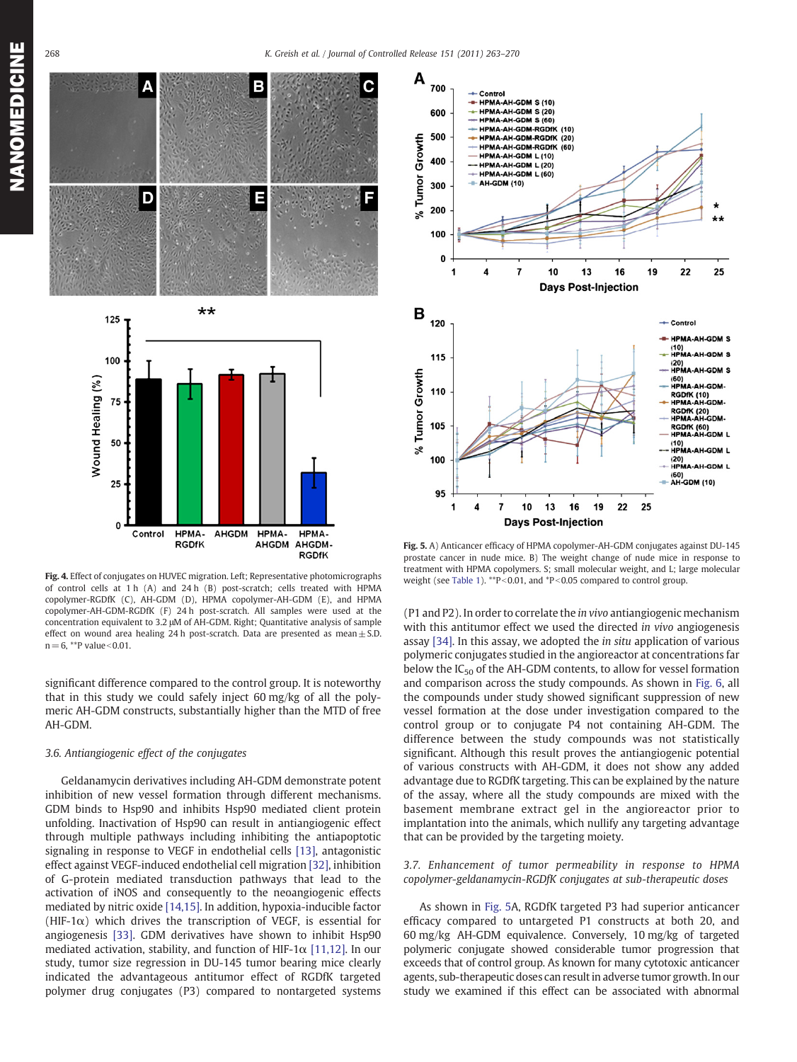<span id="page-5-0"></span>

Fig. 4. Effect of conjugates on HUVEC migration. Left; Representative photomicrographs of control cells at 1 h (A) and 24 h (B) post-scratch; cells treated with HPMA copolymer-RGDfK (C), AH-GDM (D), HPMA copolymer-AH-GDM (E), and HPMA copolymer-AH-GDM-RGDfK (F) 24 h post-scratch. All samples were used at the concentration equivalent to 3.2 μM of AH-GDM. Right; Quantitative analysis of sample effect on wound area healing 24 h post-scratch. Data are presented as mean $\pm$  S.D.  $n = 6$ , \*\*P value < 0.01.

AHGDM

HPMA-

AHGDM

HPMA-

AHGDM-**RGDfK** 

HPMA-

**RGDfK** 

significant difference compared to the control group. It is noteworthy that in this study we could safely inject 60 mg/kg of all the polymeric AH-GDM constructs, substantially higher than the MTD of free AH-GDM.

#### 3.6. Antiangiogenic effect of the conjugates

 $\mathbf 0$ 

Control

Geldanamycin derivatives including AH-GDM demonstrate potent inhibition of new vessel formation through different mechanisms. GDM binds to Hsp90 and inhibits Hsp90 mediated client protein unfolding. Inactivation of Hsp90 can result in antiangiogenic effect through multiple pathways including inhibiting the antiapoptotic signaling in response to VEGF in endothelial cells [\[13\],](#page-6-0) antagonistic effect against VEGF-induced endothelial cell migration [\[32\],](#page-7-0) inhibition of G-protein mediated transduction pathways that lead to the activation of iNOS and consequently to the neoangiogenic effects mediated by nitric oxide [\[14,15\]](#page-6-0). In addition, hypoxia-inducible factor (HIF-1 $\alpha$ ) which drives the transcription of VEGF, is essential for angiogenesis [\[33\]](#page-7-0). GDM derivatives have shown to inhibit Hsp90 mediated activation, stability, and function of HIF-1 $\alpha$  [\[11,12\].](#page-6-0) In our study, tumor size regression in DU-145 tumor bearing mice clearly indicated the advantageous antitumor effect of RGDfK targeted polymer drug conjugates (P3) compared to nontargeted systems



Fig. 5. A) Anticancer efficacy of HPMA copolymer-AH-GDM conjugates against DU-145 prostate cancer in nude mice. B) The weight change of nude mice in response to treatment with HPMA copolymers. S; small molecular weight, and L; large molecular weight (see [Table 1](#page-1-0)). \*\*P<0.01, and \*P<0.05 compared to control group.

(P1 and P2). In order to correlate the in vivo antiangiogenic mechanism with this antitumor effect we used the directed in vivo angiogenesis assay [\[34\]](#page-7-0). In this assay, we adopted the in situ application of various polymeric conjugates studied in the angioreactor at concentrations far below the  $IC_{50}$  of the AH-GDM contents, to allow for vessel formation and comparison across the study compounds. As shown in [Fig. 6,](#page-6-0) all the compounds under study showed significant suppression of new vessel formation at the dose under investigation compared to the control group or to conjugate P4 not containing AH-GDM. The difference between the study compounds was not statistically significant. Although this result proves the antiangiogenic potential of various constructs with AH-GDM, it does not show any added advantage due to RGDfK targeting. This can be explained by the nature of the assay, where all the study compounds are mixed with the basement membrane extract gel in the angioreactor prior to implantation into the animals, which nullify any targeting advantage that can be provided by the targeting moiety.

# 3.7. Enhancement of tumor permeability in response to HPMA copolymer-geldanamycin-RGDfK conjugates at sub-therapeutic doses

As shown in Fig. 5A, RGDfK targeted P3 had superior anticancer efficacy compared to untargeted P1 constructs at both 20, and 60 mg/kg AH-GDM equivalence. Conversely, 10 mg/kg of targeted polymeric conjugate showed considerable tumor progression that exceeds that of control group. As known for many cytotoxic anticancer agents, sub-therapeutic doses can result in adverse tumor growth. In our study we examined if this effect can be associated with abnormal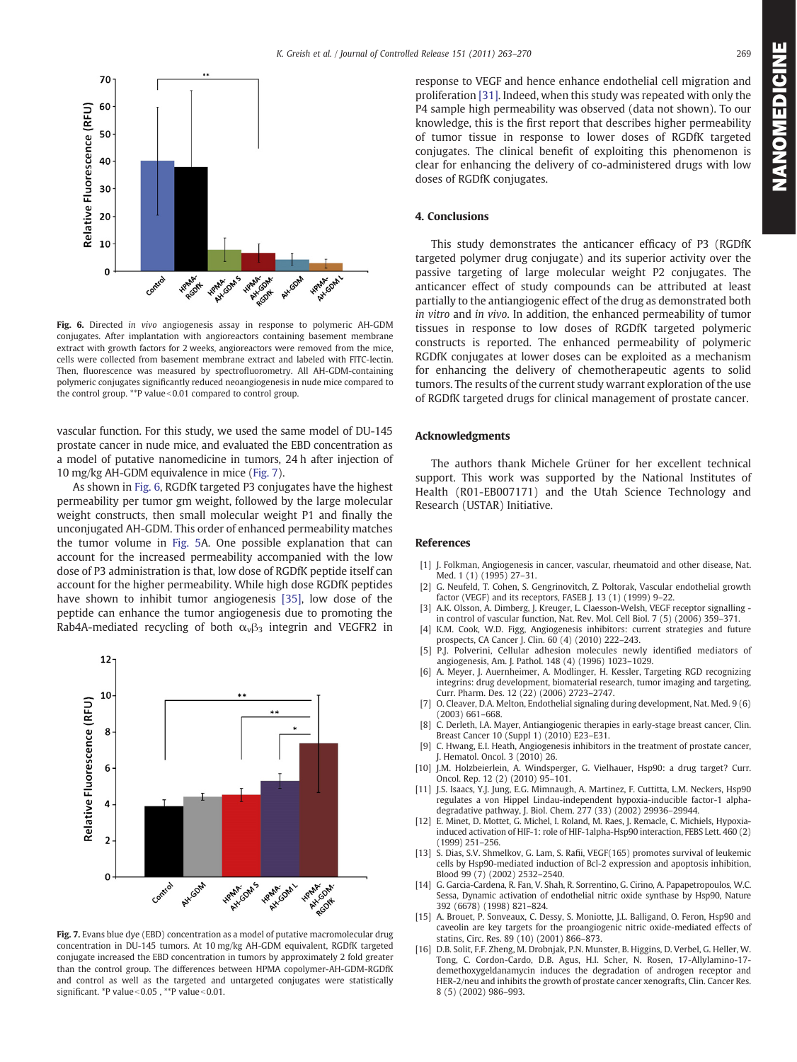<span id="page-6-0"></span>

Fig. 6. Directed in vivo angiogenesis assay in response to polymeric AH-GDM conjugates. After implantation with angioreactors containing basement membrane extract with growth factors for 2 weeks, angioreactors were removed from the mice, cells were collected from basement membrane extract and labeled with FITC-lectin. Then, fluorescence was measured by spectrofluorometry. All AH-GDM-containing polymeric conjugates significantly reduced neoangiogenesis in nude mice compared to the control group. \*\* P value <  $0.01$  compared to control group.

vascular function. For this study, we used the same model of DU-145 prostate cancer in nude mice, and evaluated the EBD concentration as a model of putative nanomedicine in tumors, 24 h after injection of 10 mg/kg AH-GDM equivalence in mice (Fig. 7).

As shown in Fig. 6, RGDfK targeted P3 conjugates have the highest permeability per tumor gm weight, followed by the large molecular weight constructs, then small molecular weight P1 and finally the unconjugated AH-GDM. This order of enhanced permeability matches the tumor volume in [Fig. 5](#page-5-0)A. One possible explanation that can account for the increased permeability accompanied with the low dose of P3 administration is that, low dose of RGDfK peptide itself can account for the higher permeability. While high dose RGDfK peptides have shown to inhibit tumor angiogenesis [\[35\]](#page-7-0), low dose of the peptide can enhance the tumor angiogenesis due to promoting the Rab4A-mediated recycling of both  $\alpha_{\nu} \beta_3$  integrin and VEGFR2 in



Fig. 7. Evans blue dye (EBD) concentration as a model of putative macromolecular drug concentration in DU-145 tumors. At 10 mg/kg AH-GDM equivalent, RGDfK targeted conjugate increased the EBD concentration in tumors by approximately 2 fold greater than the control group. The differences between HPMA copolymer-AH-GDM-RGDfK and control as well as the targeted and untargeted conjugates were statistically significant. \*P value< $0.05$ , \*\*P value< $0.01$ .

NANOMEDICINE NANOMEDIA NANOMA

response to VEGF and hence enhance endothelial cell migration and proliferation [\[31\]](#page-7-0). Indeed, when this study was repeated with only the P4 sample high permeability was observed (data not shown). To our knowledge, this is the first report that describes higher permeability of tumor tissue in response to lower doses of RGDfK targeted conjugates. The clinical benefit of exploiting this phenomenon is clear for enhancing the delivery of co-administered drugs with low doses of RGDfK conjugates.

# 4. Conclusions

This study demonstrates the anticancer efficacy of P3 (RGDfK targeted polymer drug conjugate) and its superior activity over the passive targeting of large molecular weight P2 conjugates. The anticancer effect of study compounds can be attributed at least partially to the antiangiogenic effect of the drug as demonstrated both in vitro and in vivo. In addition, the enhanced permeability of tumor tissues in response to low doses of RGDfK targeted polymeric constructs is reported. The enhanced permeability of polymeric RGDfK conjugates at lower doses can be exploited as a mechanism for enhancing the delivery of chemotherapeutic agents to solid tumors. The results of the current study warrant exploration of the use of RGDfK targeted drugs for clinical management of prostate cancer.

# Acknowledgments

The authors thank Michele Grüner for her excellent technical support. This work was supported by the National Institutes of Health (R01-EB007171) and the Utah Science Technology and Research (USTAR) Initiative.

#### References

- [1] J. Folkman, Angiogenesis in cancer, vascular, rheumatoid and other disease, Nat. Med. 1 (1) (1995) 27–31.
- [2] G. Neufeld, T. Cohen, S. Gengrinovitch, Z. Poltorak, Vascular endothelial growth factor (VEGF) and its receptors, FASEB J. 13 (1) (1999) 9–22.
- [3] A.K. Olsson, A. Dimberg, J. Kreuger, L. Claesson-Welsh, VEGF receptor signalling in control of vascular function, Nat. Rev. Mol. Cell Biol. 7 (5) (2006) 359–371.
- [4] K.M. Cook, W.D. Figg, Angiogenesis inhibitors: current strategies and future prospects, CA Cancer J. Clin. 60 (4) (2010) 222–243.
- [5] P.J. Polverini, Cellular adhesion molecules newly identified mediators of angiogenesis, Am. J. Pathol. 148 (4) (1996) 1023–1029.
- [6] A. Meyer, J. Auernheimer, A. Modlinger, H. Kessler, Targeting RGD recognizing integrins: drug development, biomaterial research, tumor imaging and targeting, Curr. Pharm. Des. 12 (22) (2006) 2723–2747.
- [7] O. Cleaver, D.A. Melton, Endothelial signaling during development, Nat. Med. 9 (6) (2003) 661–668.
- [8] C. Derleth, I.A. Mayer, Antiangiogenic therapies in early-stage breast cancer, Clin. Breast Cancer 10 (Suppl 1) (2010) E23–E31.
- [9] C. Hwang, E.I. Heath, Angiogenesis inhibitors in the treatment of prostate cancer, J. Hematol. Oncol. 3 (2010) 26.
- [10] J.M. Holzbeierlein, A. Windsperger, G. Vielhauer, Hsp90: a drug target? Curr. Oncol. Rep. 12 (2) (2010) 95–101.
- [11] J.S. Isaacs, Y.J. Jung, E.G. Mimnaugh, A. Martinez, F. Cuttitta, L.M. Neckers, Hsp90 regulates a von Hippel Lindau-independent hypoxia-inducible factor-1 alphadegradative pathway, J. Biol. Chem. 277 (33) (2002) 29936–29944.
- [12] E. Minet, D. Mottet, G. Michel, I. Roland, M. Raes, J. Remacle, C. Michiels, Hypoxiainduced activation of HIF-1: role of HIF-1alpha-Hsp90 interaction, FEBS Lett. 460 (2) (1999) 251–256.
- [13] S. Dias, S.V. Shmelkov, G. Lam, S. Rafii, VEGF(165) promotes survival of leukemic cells by Hsp90-mediated induction of Bcl-2 expression and apoptosis inhibition, Blood 99 (7) (2002) 2532–2540.
- [14] G. Garcia-Cardena, R. Fan, V. Shah, R. Sorrentino, G. Cirino, A. Papapetropoulos, W.C. Sessa, Dynamic activation of endothelial nitric oxide synthase by Hsp90, Nature 392 (6678) (1998) 821–824.
- [15] A. Brouet, P. Sonveaux, C. Dessy, S. Moniotte, J.L. Balligand, O. Feron, Hsp90 and caveolin are key targets for the proangiogenic nitric oxide-mediated effects of statins, Circ. Res. 89 (10) (2001) 866–873.
- [16] D.B. Solit, F.F. Zheng, M. Drobnjak, P.N. Munster, B. Higgins, D. Verbel, G. Heller, W. Tong, C. Cordon-Cardo, D.B. Agus, H.I. Scher, N. Rosen, 17-Allylamino-17 demethoxygeldanamycin induces the degradation of androgen receptor and HER-2/neu and inhibits the growth of prostate cancer xenografts, Clin. Cancer Res. 8 (5) (2002) 986–993.